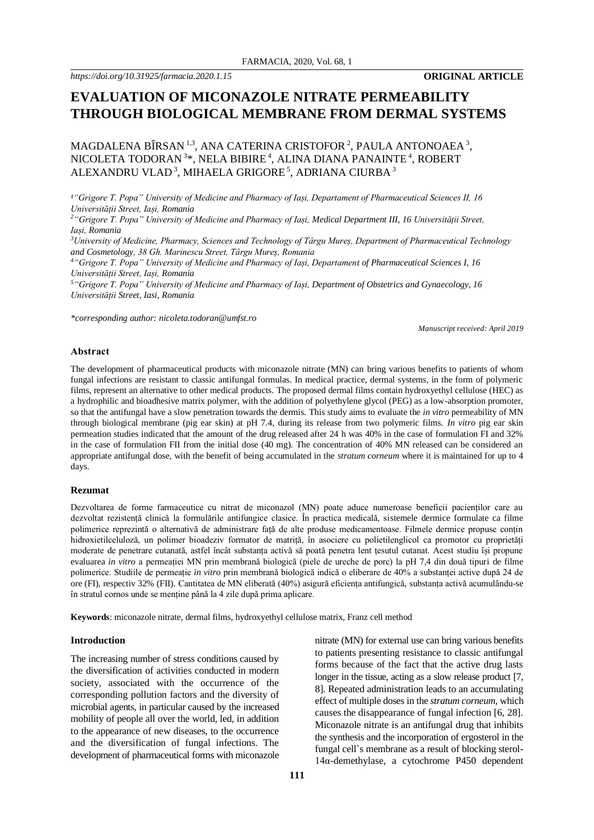# **EVALUATION OF MICONAZOLE NITRATE PERMEABILITY THROUGH BIOLOGICAL MEMBRANE FROM DERMAL SYSTEMS**

MAGDALENA BÎRSAN  $^{1,3}$ , ANA CATERINA CRISTOFOR  $^2$ , PAULA ANTONOAEA  $^3$ , NICOLETA TODORAN 3\*, NELA BIBIRE <sup>4</sup>, ALINA DIANA PANAINTE <sup>4</sup>, ROBERT ALEXANDRU VLAD $^3,$ MIHAELA GRIGORE $^5,$ ADRIANA CIURBA  $^3$ 

*¹"Grigore T. Popa" University of Medicine and Pharmacy of Iași, Departament of Pharmaceutical Sciences II, 16 Universității Street, Iași, Romania*

*<sup>2</sup>"Grigore T. Popa" University of Medicine and Pharmacy of Iași, Medical Department III, 16 Universității Street, Iași, Romania*

*<sup>3</sup>University of Medicine, Pharmacy, Sciences and Technology of Târgu Mureș, Department of Pharmaceutical Technology and Cosmetology, 38 Gh. Marinescu Street, Târgu Mureș, Romania*

*<sup>4</sup>"Grigore T. Popa" University of Medicine and Pharmacy of Iași, Departament of Pharmaceutical Sciences I, 16 Universității Street, Iași, Romania*

*<sup>5</sup>"Grigore T. Popa" University of Medicine and Pharmacy of Iași, Department of Obstetrics and Gynaecology, 16 Universității Street, Iasi, Romania*

*\*corresponding author: nicoleta.todoran@umfst.ro*

*Manuscript received: April 2019*

#### **Abstract**

The development of pharmaceutical products with miconazole nitrate (MN) can bring various benefits to patients of whom fungal infections are resistant to classic antifungal formulas. In medical practice, dermal systems, in the form of polymeric films, represent an alternative to other medical products. The proposed dermal films contain hydroxyethyl cellulose (HEC) as a hydrophilic and bioadhesive matrix polymer, with the addition of polyethylene glycol (PEG) as a low-absorption promoter, so that the antifungal have a slow penetration towards the dermis. This study aims to evaluate the *in vitro* permeability of MN through biological membrane (pig ear skin) at pH 7.4, during its release from two polymeric films. *In vitro* pig ear skin permeation studies indicated that the amount of the drug released after 24 h was 40% in the case of formulation FI and 32% in the case of formulation FII from the initial dose (40 mg). The concentration of 40% MN released can be considered an appropriate antifungal dose, with the benefit of being accumulated in the *stratum corneum* where it is maintained for up to 4 days.

#### **Rezumat**

Dezvoltarea de forme farmaceutice cu nitrat de miconazol (MN) poate aduce numeroase beneficii pacienților care au dezvoltat rezistență clinică la formulările antifungice clasice. În practica medicală, sistemele dermice formulate ca filme polimerice reprezintă o alternativă de administrare față de alte produse medicamentoase. Filmele dermice propuse conțin hidroxietilceluloză, un polimer bioadeziv formator de matriță, în asociere cu polietilenglicol ca promotor cu proprietăți moderate de penetrare cutanată, astfel încât substanța activă să poată penetra lent țesutul cutanat. Acest studiu își propune evaluarea *in vitro* a permeației MN prin membrană biologică (piele de ureche de porc) la pH 7,4 din două tipuri de filme polimerice. Studiile de permeație *in vitro* prin membrană biologică indică o eliberare de 40% a substanței active după 24 de ore (FI), respectiv 32% (FII). Cantitatea de MN eliberată (40%) asigură eficiența antifungică, substanța activă acumulându-se în stratul cornos unde se menține până la 4 zile după prima aplicare.

**Keywords**: miconazole nitrate, dermal films, hydroxyethyl cellulose matrix, Franz cell method

### **Introduction**

The increasing number of stress conditions caused by the diversification of activities conducted in modern society, associated with the occurrence of the corresponding pollution factors and the diversity of microbial agents, in particular caused by the increased mobility of people all over the world, led, in addition to the appearance of new diseases, to the occurrence and the diversification of fungal infections. The development of pharmaceutical forms with miconazole

nitrate (MN) for external use can bring various benefits to patients presenting resistance to classic antifungal forms because of the fact that the active drug lasts longer in the tissue, acting as a slow release product [7, 8]. Repeated administration leads to an accumulating effect of multiple doses in the *stratum corneum*, which causes the disappearance of fungal infection [6, 28]. Miconazole nitrate is an antifungal drug that inhibits the synthesis and the incorporation of ergosterol in the fungal cell`s membrane as a result of blocking sterol-14α-demethylase, a cytochrome P450 dependent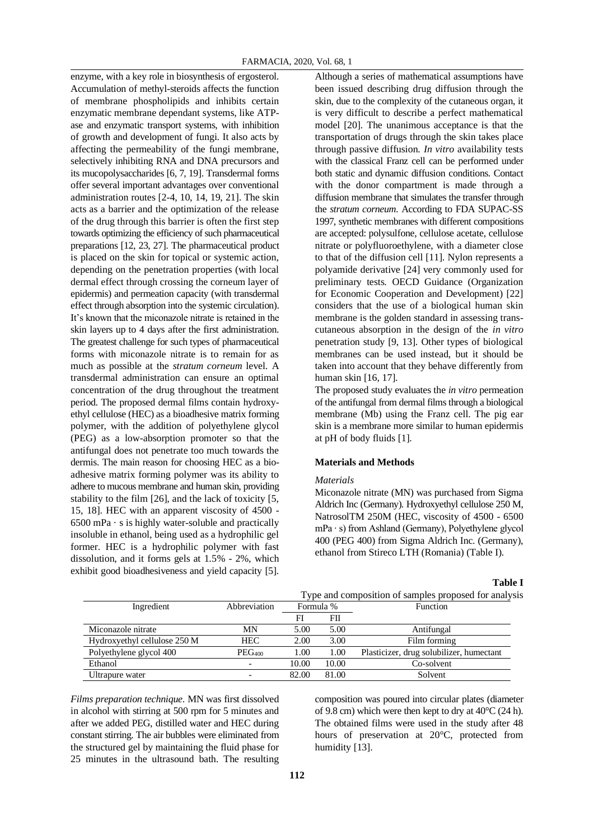enzyme, with a key role in biosynthesis of ergosterol. Accumulation of methyl-steroids affects the function of membrane phospholipids and inhibits certain enzymatic membrane dependant systems, like ATPase and enzymatic transport systems, with inhibition of growth and development of fungi. It also acts by affecting the permeability of the fungi membrane, selectively inhibiting RNA and DNA precursors and its mucopolysaccharides [6, 7, 19]. Transdermal forms offer several important advantages over conventional administration routes [2-4, 10, 14, 19, 21]. The skin acts as a barrier and the optimization of the release of the drug through this barrier is often the first step towards optimizing the efficiency of such pharmaceutical preparations [12, 23, 27]. The pharmaceutical product is placed on the skin for topical or systemic action, depending on the penetration properties (with local dermal effect through crossing the corneum layer of epidermis) and permeation capacity (with transdermal effect through absorption into the systemic circulation). It's known that the miconazole nitrate is retained in the skin layers up to 4 days after the first administration. The greatest challenge for such types of pharmaceutical forms with miconazole nitrate is to remain for as much as possible at the *stratum corneum* level. A transdermal administration can ensure an optimal concentration of the drug throughout the treatment period. The proposed dermal films contain hydroxyethyl cellulose (HEC) as a bioadhesive matrix forming polymer, with the addition of polyethylene glycol (PEG) as a low-absorption promoter so that the antifungal does not penetrate too much towards the dermis. The main reason for choosing HEC as a bioadhesive matrix forming polymer was its ability to adhere to mucous membrane and human skin, providing stability to the film [26], and the lack of toxicity [5, 15, 18]. HEC with an apparent viscosity of 4500 -  $6500$  mPa  $\cdot$  s is highly water-soluble and practically insoluble in ethanol, being used as a hydrophilic gel former. HEC is a hydrophilic polymer with fast dissolution, and it forms gels at 1.5% - 2%, which exhibit good bioadhesiveness and yield capacity [5].

Although a series of mathematical assumptions have been issued describing drug diffusion through the skin, due to the complexity of the cutaneous organ, it is very difficult to describe a perfect mathematical model [20]. The unanimous acceptance is that the transportation of drugs through the skin takes place through passive diffusion. *In vitro* availability tests with the classical Franz cell can be performed under both static and dynamic diffusion conditions. Contact with the donor compartment is made through a diffusion membrane that simulates the transfer through the *stratum corneum*. According to FDA SUPAC-SS 1997, synthetic membranes with different compositions are accepted: polysulfone, cellulose acetate, cellulose nitrate or polyfluoroethylene, with a diameter close to that of the diffusion cell [11]. Nylon represents a polyamide derivative [24] very commonly used for preliminary tests. OECD Guidance (Organization for Economic Cooperation and Development) [22] considers that the use of a biological human skin membrane is the golden standard in assessing transcutaneous absorption in the design of the *in vitro* penetration study [9, 13]. Other types of biological membranes can be used instead, but it should be taken into account that they behave differently from human skin [16, 17].

The proposed study evaluates the *in vitro* permeation of the antifungal from dermal films through a biological membrane (Mb) using the Franz cell. The pig ear skin is a membrane more similar to human epidermis at pH of body fluids [1].

# **Materials and Methods**

#### *Materials*

Miconazole nitrate (MN) was purchased from Sigma Aldrich Inc (Germany). Hydroxyethyl cellulose 250 M, NatrosolTM 250M (HEC, viscosity of 4500 - 6500 mPa ∙ s) from Ashland (Germany), Polyethylene glycol 400 (PEG 400) from Sigma Aldrich Inc. (Germany), ethanol from Stireco LTH (Romania) (Table I).

**Table I**

|                              |                    | Type and composition of samples proposed for analysis |       |                                          |  |
|------------------------------|--------------------|-------------------------------------------------------|-------|------------------------------------------|--|
| Ingredient                   | Abbreviation       | Formula %                                             |       | Function                                 |  |
|                              |                    | FI                                                    | FII   |                                          |  |
| Miconazole nitrate           | MN                 | 5.00                                                  | 5.00  | Antifungal                               |  |
| Hydroxyethyl cellulose 250 M | <b>HEC</b>         | 2.00                                                  | 3.00  | Film forming                             |  |
| Polyethylene glycol 400      | PEG <sub>400</sub> | 1.00                                                  | 1.00  | Plasticizer, drug solubilizer, humectant |  |
| Ethanol                      |                    | 10.00                                                 | 10.00 | Co-solvent                               |  |
| Ultrapure water              |                    | 82.00                                                 | 81.00 | Solvent                                  |  |

*Films preparation technique*. MN was first dissolved in alcohol with stirring at 500 rpm for 5 minutes and after we added PEG, distilled water and HEC during constant stirring. The air bubbles were eliminated from the structured gel by maintaining the fluid phase for 25 minutes in the ultrasound bath. The resulting

composition was poured into circular plates (diameter of 9.8 cm) which were then kept to dry at  $40^{\circ}$ C (24 h). The obtained films were used in the study after 48 hours of preservation at 20°C, protected from humidity [13].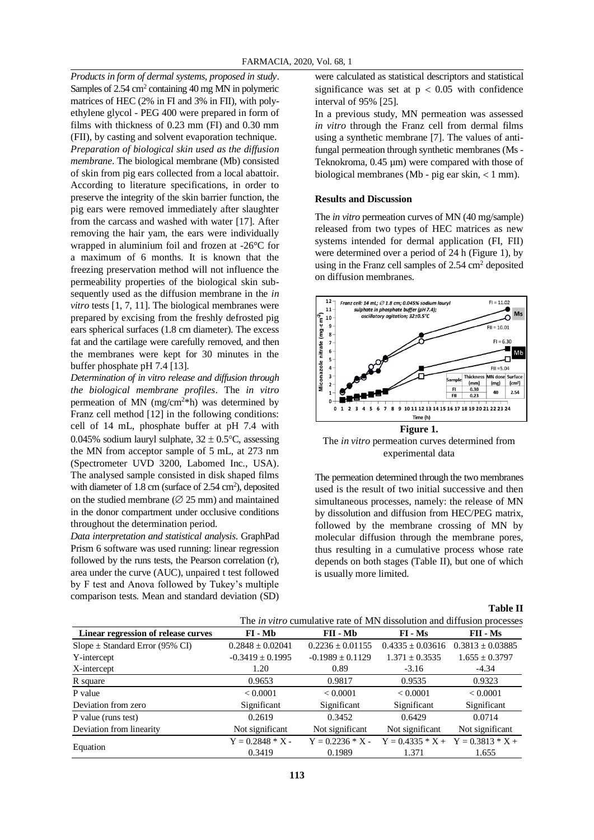*Products in form of dermal systems, proposed in study*. Samples of 2.54 cm<sup>2</sup> containing 40 mg MN in polymeric matrices of HEC (2% in FI and 3% in FII), with polyethylene glycol - PEG 400 were prepared in form of films with thickness of 0.23 mm (FI) and 0.30 mm (FII), by casting and solvent evaporation technique. *Preparation of biological skin used as the diffusion membrane*. The biological membrane (Mb) consisted of skin from pig ears collected from a local abattoir. According to literature specifications, in order to preserve the integrity of the skin barrier function, the pig ears were removed immediately after slaughter from the carcass and washed with water [17]. After removing the hair yam, the ears were individually wrapped in aluminium foil and frozen at -26°C for a maximum of 6 months. It is known that the freezing preservation method will not influence the permeability properties of the biological skin subsequently used as the diffusion membrane in the *in vitro* tests [1, 7, 11]. The biological membranes were prepared by excising from the freshly defrosted pig ears spherical surfaces (1.8 cm diameter). The excess fat and the cartilage were carefully removed, and then the membranes were kept for 30 minutes in the buffer phosphate pH 7.4 [13].

*Determination of in vitro release and diffusion through the biological membrane profiles*. The *in vitro* permeation of MN (mg/cm<sup>2\*h</sup>) was determined by Franz cell method [12] in the following conditions: cell of 14 mL, phosphate buffer at pH 7.4 with 0.045% sodium lauryl sulphate,  $32 \pm 0.5^{\circ}$ C, assessing the MN from acceptor sample of 5 mL, at 273 nm (Spectrometer UVD 3200, Labomed Inc., USA). The analysed sample consisted in disk shaped films with diameter of  $1.8 \text{ cm}$  (surface of  $2.54 \text{ cm}^2$ ), deposited on the studied membrane ( $\varnothing$  25 mm) and maintained in the donor compartment under occlusive conditions throughout the determination period.

*Data interpretation and statistical analysis*. GraphPad Prism 6 software was used running: linear regression followed by the runs tests, the Pearson correlation (r), area under the curve (AUC), unpaired t test followed by F test and Anova followed by Tukey's multiple comparison tests. Mean and standard deviation (SD) were calculated as statistical descriptors and statistical significance was set at  $p < 0.05$  with confidence interval of 95% [25].

In a previous study, MN permeation was assessed *in vitro* through the Franz cell from dermal films using a synthetic membrane [7]. The values of antifungal permeation through synthetic membranes (Ms - Teknokroma, 0.45 µm) were compared with those of biological membranes (Mb - pig ear skin,  $< 1$  mm).

# **Results and Discussion**

The *in vitro* permeation curves of MN (40 mg/sample) released from two types of HEC matrices as new systems intended for dermal application (FI, FII) were determined over a period of 24 h (Figure 1), by using in the Franz cell samples of  $2.54 \text{ cm}^2$  deposited on diffusion membranes.



The *in vitro* permeation curves determined from experimental data

The permeation determined through the two membranes used is the result of two initial successive and then simultaneous processes, namely: the release of MN by dissolution and diffusion from HEC/PEG matrix, followed by the membrane crossing of MN by molecular diffusion through the membrane pores, thus resulting in a cumulative process whose rate depends on both stages (Table II), but one of which is usually more limited.

**Table II**

|                                      | The <i>in vitro</i> cumulative rate of MN dissolution and diffusion processes |                    |                    |                      |  |  |
|--------------------------------------|-------------------------------------------------------------------------------|--------------------|--------------------|----------------------|--|--|
| Linear regression of release curves  | FI-Mb                                                                         | FII - Mb           | $FI - Ms$          | FII - Ms             |  |  |
| $Slope \pm Standard Error (95\% CI)$ | $0.2848 \pm 0.02041$                                                          | $0.2236 + 0.01155$ | $0.4335 + 0.03616$ | $0.3813 \pm 0.03885$ |  |  |
| Y-intercept                          | $-0.3419 \pm 0.1995$                                                          | $-0.1989 + 0.1129$ | $1.371 \pm 0.3535$ | $1.655 \pm 0.3797$   |  |  |
| X-intercept                          | 1.20                                                                          | 0.89               | $-3.16$            | $-4.34$              |  |  |
| R square                             | 0.9653                                                                        | 0.9817             | 0.9535             | 0.9323               |  |  |
| P value                              | < 0.0001                                                                      | < 0.0001           | < 0.0001           | < 0.0001             |  |  |
| Deviation from zero                  | Significant                                                                   | Significant        | Significant        | Significant          |  |  |
| P value (runs test)                  | 0.2619                                                                        | 0.3452             | 0.6429             | 0.0714               |  |  |
| Deviation from linearity             | Not significant                                                               | Not significant    | Not significant    | Not significant      |  |  |
| Equation                             | $Y = 0.2848 * X -$                                                            | $Y = 0.2236 * X -$ | $Y = 0.4335 * X +$ | $Y = 0.3813 * X +$   |  |  |
|                                      | 0.3419                                                                        | 0.1989             | 1.371              | 1.655                |  |  |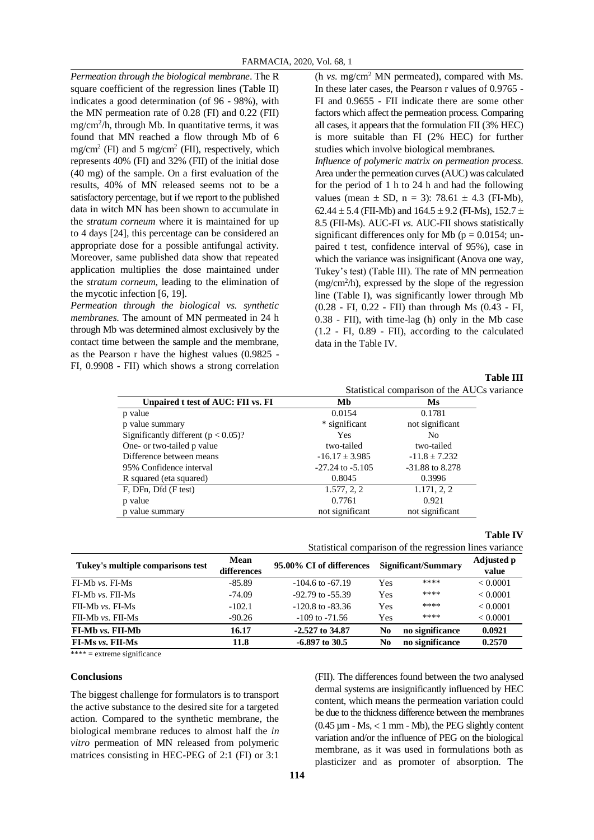*Permeation through the biological membrane*. The R square coefficient of the regression lines (Table II) indicates a good determination (of 96 - 98%), with the MN permeation rate of 0.28 (FI) and 0.22 (FII) mg/cm<sup>2</sup> /h, through Mb. In quantitative terms, it was found that MN reached a flow through Mb of 6 mg/cm<sup>2</sup> (FI) and 5 mg/cm<sup>2</sup> (FII), respectively, which represents 40% (FI) and 32% (FII) of the initial dose (40 mg) of the sample. On a first evaluation of the results, 40% of MN released seems not to be a satisfactory percentage, but if we report to the published data in witch MN has been shown to accumulate in the *stratum corneum* where it is maintained for up to 4 days [24], this percentage can be considered an appropriate dose for a possible antifungal activity. Moreover, same published data show that repeated application multiplies the dose maintained under the *stratum corneum*, leading to the elimination of the mycotic infection [6, 19].

*Permeation through the biological vs. synthetic membranes*. The amount of MN permeated in 24 h through Mb was determined almost exclusively by the contact time between the sample and the membrane, as the Pearson r have the highest values (0.9825 - FI, 0.9908 - FII) which shows a strong correlation (h *vs*. mg/cm<sup>2</sup> MN permeated), compared with Ms. In these later cases, the Pearson r values of 0.9765 - FI and 0.9655 - FII indicate there are some other factors which affect the permeation process. Comparing all cases, it appears that the formulation FII (3% HEC) is more suitable than FI (2% HEC) for further studies which involve biological membranes.

*Influence of polymeric matrix on permeation process*. Area under the permeation curves (AUC) was calculated for the period of 1 h to 24 h and had the following values (mean  $\pm$  SD, n = 3): 78.61  $\pm$  4.3 (FI-Mb), 62.44  $\pm$  5.4 (FII-Mb) and 164.5  $\pm$  9.2 (FI-Ms), 152.7  $\pm$ 8.5 (FII-Ms). AUC-FI *vs*. AUC-FII shows statistically significant differences only for Mb ( $p = 0.0154$ ; unpaired t test, confidence interval of 95%), case in which the variance was insignificant (Anova one way, Tukey's test) (Table III). The rate of MN permeation (mg/cm<sup>2</sup> /h), expressed by the slope of the regression line (Table I), was significantly lower through Mb (0.28 - FI, 0.22 - FII) than through Ms (0.43 - FI, 0.38 - FII), with time-lag (h) only in the Mb case (1.2 - FI, 0.89 - FII), according to the calculated data in the Table IV.

**Table III**

|                                         | Statistical comparison of the AUCs variance |                   |  |  |
|-----------------------------------------|---------------------------------------------|-------------------|--|--|
| Unpaired t test of AUC: FII vs. FI      | Mb                                          | Ms                |  |  |
| p value                                 | 0.0154                                      | 0.1781            |  |  |
| p value summary                         | * significant                               | not significant   |  |  |
| Significantly different ( $p < 0.05$ )? | <b>Yes</b>                                  | No                |  |  |
| One- or two-tailed p value              | two-tailed                                  | two-tailed        |  |  |
| Difference between means                | $-16.17 \pm 3.985$                          | $-11.8 \pm 7.232$ |  |  |
| 95% Confidence interval                 | $-27.24$ to $-5.105$                        | $-31.88$ to 8.278 |  |  |
| R squared (eta squared)                 | 0.8045                                      | 0.3996            |  |  |
| F, DFn, Dfd (F test)                    | 1.577, 2, 2                                 | 1.171, 2, 2       |  |  |
| p value                                 | 0.7761                                      | 0.921             |  |  |
| p value summary                         | not significant                             | not significant   |  |  |

### **Table IV**

|                                                        |                            | Statistical comparison of the regression lines variance |                     |                 |                            |
|--------------------------------------------------------|----------------------------|---------------------------------------------------------|---------------------|-----------------|----------------------------|
| Tukey's multiple comparisons test<br>$FI-Mb vs. FI-Ms$ | <b>Mean</b><br>differences | 95.00% CI of differences                                | Significant/Summary |                 | <b>Adjusted p</b><br>value |
|                                                        | $-85.89$                   | $-104.6$ to $-67.19$                                    | Yes                 | ****            | < 0.0001                   |
| $FI-Mb vs. FII-Ms$                                     | $-74.09$                   | $-92.79$ to $-55.39$                                    | Yes                 | ****            | < 0.0001                   |
| $FI-Mb vs. FI-Ms$                                      | $-102.1$                   | $-120.8$ to $-83.36$                                    | Yes                 | ****            | < 0.0001                   |
| FII-Mb vs. FII-Ms                                      | $-90.26$                   | $-109$ to $-71.56$                                      | Yes                 | ****            | < 0.0001                   |
| FI-Mb vs. FII-Mb                                       | 16.17                      | $-2.527$ to 34.87                                       | No.                 | no significance | 0.0921                     |
| <b>FI-Ms vs. FII-Ms</b>                                | 11.8                       | $-6.897$ to 30.5                                        | No.                 | no significance | 0.2570                     |

 $*** =$  extreme significance

#### **Conclusions**

The biggest challenge for formulators is to transport the active substance to the desired site for a targeted action. Compared to the synthetic membrane, the biological membrane reduces to almost half the *in vitro* permeation of MN released from polymeric matrices consisting in HEC-PEG of 2:1 (FI) or 3:1

(FII). The differences found between the two analysed dermal systems are insignificantly influenced by HEC content, which means the permeation variation could be due to the thickness difference between the membranes  $(0.45 \mu m - Ms, < 1 mm - Mb)$ , the PEG slightly content variation and/or the influence of PEG on the biological membrane, as it was used in formulations both as plasticizer and as promoter of absorption. The